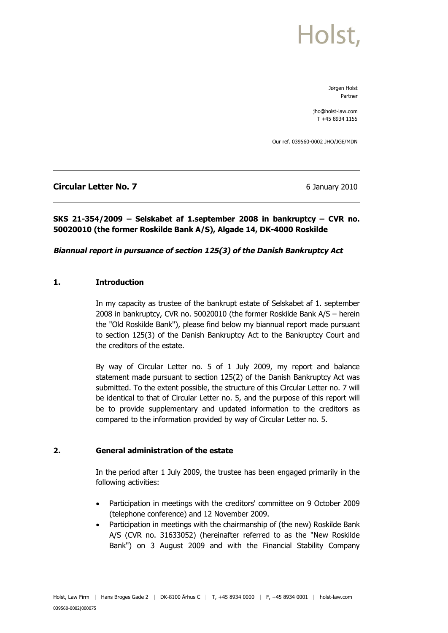Jørgen Holst Partner

jho@holst-law.com T +45 8934 1155

Our ref. 039560-0002 JHO/JGE/MDN

## **Circular Letter No. 7** 6 January 2010

## **SKS 21-354/2009 – Selskabet af 1.september 2008 in bankruptcy – CVR no. 50020010 (the former Roskilde Bank A/S), Algade 14, DK-4000 Roskilde**

### **Biannual report in pursuance of section 125(3) of the Danish Bankruptcy Act**

### **1. Introduction**

In my capacity as trustee of the bankrupt estate of Selskabet af 1. september 2008 in bankruptcy, CVR no. 50020010 (the former Roskilde Bank A/S – herein the "Old Roskilde Bank"), please find below my biannual report made pursuant to section 125(3) of the Danish Bankruptcy Act to the Bankruptcy Court and the creditors of the estate.

By way of Circular Letter no. 5 of 1 July 2009, my report and balance statement made pursuant to section 125(2) of the Danish Bankruptcy Act was submitted. To the extent possible, the structure of this Circular Letter no. 7 will be identical to that of Circular Letter no. 5, and the purpose of this report will be to provide supplementary and updated information to the creditors as compared to the information provided by way of Circular Letter no. 5.

### **2. General administration of the estate**

In the period after 1 July 2009, the trustee has been engaged primarily in the following activities:

- Participation in meetings with the creditors' committee on 9 October 2009 (telephone conference) and 12 November 2009.
- Participation in meetings with the chairmanship of (the new) Roskilde Bank A/S (CVR no. 31633052) (hereinafter referred to as the "New Roskilde Bank") on 3 August 2009 and with the Financial Stability Company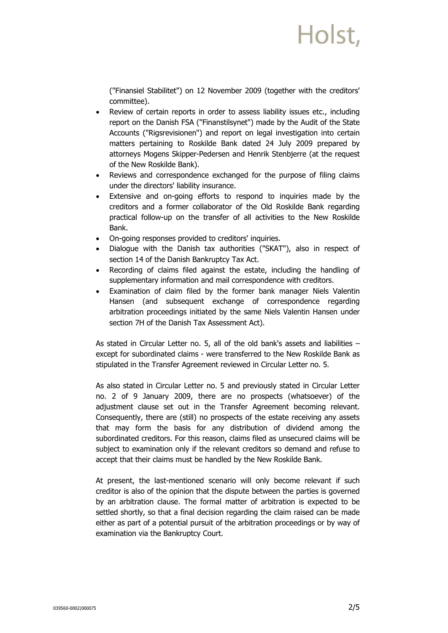("Finansiel Stabilitet") on 12 November 2009 (together with the creditors' committee).

- Review of certain reports in order to assess liability issues etc., including report on the Danish FSA ("Finanstilsynet") made by the Audit of the State Accounts ("Rigsrevisionen") and report on legal investigation into certain matters pertaining to Roskilde Bank dated 24 July 2009 prepared by attorneys Mogens Skipper-Pedersen and Henrik Stenbjerre (at the request of the New Roskilde Bank).
- Reviews and correspondence exchanged for the purpose of filing claims under the directors' liability insurance.
- Extensive and on-going efforts to respond to inquiries made by the creditors and a former collaborator of the Old Roskilde Bank regarding practical follow-up on the transfer of all activities to the New Roskilde Bank.
- · On-going responses provided to creditors' inquiries.
- Dialogue with the Danish tax authorities ("SKAT"), also in respect of section 14 of the Danish Bankruptcy Tax Act.
- Recording of claims filed against the estate, including the handling of supplementary information and mail correspondence with creditors.
- Examination of claim filed by the former bank manager Niels Valentin Hansen (and subsequent exchange of correspondence regarding arbitration proceedings initiated by the same Niels Valentin Hansen under section 7H of the Danish Tax Assessment Act).

As stated in Circular Letter no. 5, all of the old bank's assets and liabilities – except for subordinated claims - were transferred to the New Roskilde Bank as stipulated in the Transfer Agreement reviewed in Circular Letter no. 5.

As also stated in Circular Letter no. 5 and previously stated in Circular Letter no. 2 of 9 January 2009, there are no prospects (whatsoever) of the adjustment clause set out in the Transfer Agreement becoming relevant. Consequently, there are (still) no prospects of the estate receiving any assets that may form the basis for any distribution of dividend among the subordinated creditors. For this reason, claims filed as unsecured claims will be subject to examination only if the relevant creditors so demand and refuse to accept that their claims must be handled by the New Roskilde Bank.

At present, the last-mentioned scenario will only become relevant if such creditor is also of the opinion that the dispute between the parties is governed by an arbitration clause. The formal matter of arbitration is expected to be settled shortly, so that a final decision regarding the claim raised can be made either as part of a potential pursuit of the arbitration proceedings or by way of examination via the Bankruptcy Court.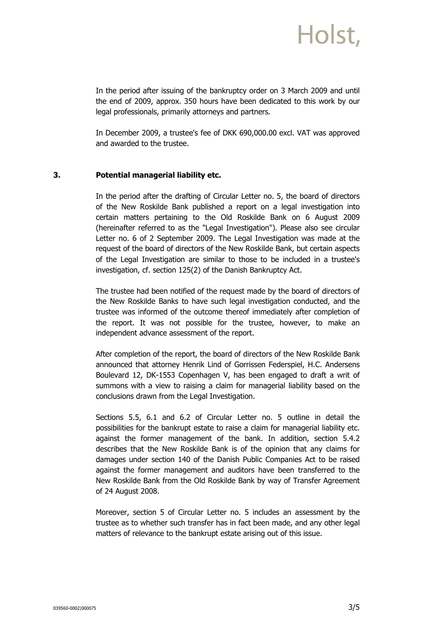In the period after issuing of the bankruptcy order on 3 March 2009 and until the end of 2009, approx. 350 hours have been dedicated to this work by our legal professionals, primarily attorneys and partners.

In December 2009, a trustee's fee of DKK 690,000.00 excl. VAT was approved and awarded to the trustee.

#### **3. Potential managerial liability etc.**

In the period after the drafting of Circular Letter no. 5, the board of directors of the New Roskilde Bank published a report on a legal investigation into certain matters pertaining to the Old Roskilde Bank on 6 August 2009 (hereinafter referred to as the "Legal Investigation"). Please also see circular Letter no. 6 of 2 September 2009. The Legal Investigation was made at the request of the board of directors of the New Roskilde Bank, but certain aspects of the Legal Investigation are similar to those to be included in a trustee's investigation, cf. section 125(2) of the Danish Bankruptcy Act.

The trustee had been notified of the request made by the board of directors of the New Roskilde Banks to have such legal investigation conducted, and the trustee was informed of the outcome thereof immediately after completion of the report. It was not possible for the trustee, however, to make an independent advance assessment of the report.

After completion of the report, the board of directors of the New Roskilde Bank announced that attorney Henrik Lind of Gorrissen Federspiel, H.C. Andersens Boulevard 12, DK-1553 Copenhagen V, has been engaged to draft a writ of summons with a view to raising a claim for managerial liability based on the conclusions drawn from the Legal Investigation.

Sections 5.5, 6.1 and 6.2 of Circular Letter no. 5 outline in detail the possibilities for the bankrupt estate to raise a claim for managerial liability etc. against the former management of the bank. In addition, section 5.4.2 describes that the New Roskilde Bank is of the opinion that any claims for damages under section 140 of the Danish Public Companies Act to be raised against the former management and auditors have been transferred to the New Roskilde Bank from the Old Roskilde Bank by way of Transfer Agreement of 24 August 2008.

Moreover, section 5 of Circular Letter no. 5 includes an assessment by the trustee as to whether such transfer has in fact been made, and any other legal matters of relevance to the bankrupt estate arising out of this issue.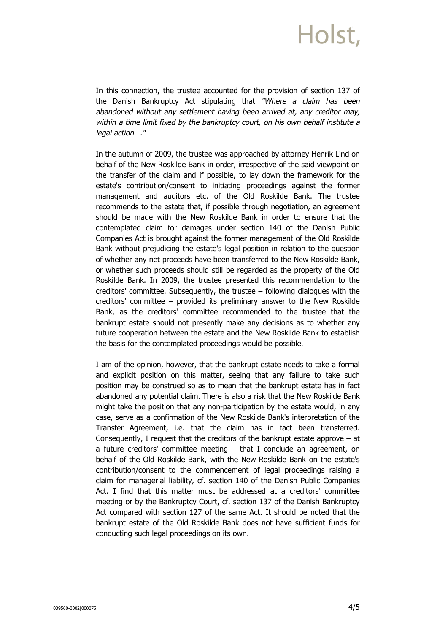In this connection, the trustee accounted for the provision of section 137 of the Danish Bankruptcy Act stipulating that "Where a claim has been abandoned without any settlement having been arrived at, any creditor may, within a time limit fixed by the bankruptcy court, on his own behalf institute a legal action…."

In the autumn of 2009, the trustee was approached by attorney Henrik Lind on behalf of the New Roskilde Bank in order, irrespective of the said viewpoint on the transfer of the claim and if possible, to lay down the framework for the estate's contribution/consent to initiating proceedings against the former management and auditors etc. of the Old Roskilde Bank. The trustee recommends to the estate that, if possible through negotiation, an agreement should be made with the New Roskilde Bank in order to ensure that the contemplated claim for damages under section 140 of the Danish Public Companies Act is brought against the former management of the Old Roskilde Bank without prejudicing the estate's legal position in relation to the question of whether any net proceeds have been transferred to the New Roskilde Bank, or whether such proceeds should still be regarded as the property of the Old Roskilde Bank. In 2009, the trustee presented this recommendation to the creditors' committee. Subsequently, the trustee – following dialogues with the creditors' committee – provided its preliminary answer to the New Roskilde Bank, as the creditors' committee recommended to the trustee that the bankrupt estate should not presently make any decisions as to whether any future cooperation between the estate and the New Roskilde Bank to establish the basis for the contemplated proceedings would be possible.

I am of the opinion, however, that the bankrupt estate needs to take a formal and explicit position on this matter, seeing that any failure to take such position may be construed so as to mean that the bankrupt estate has in fact abandoned any potential claim. There is also a risk that the New Roskilde Bank might take the position that any non-participation by the estate would, in any case, serve as a confirmation of the New Roskilde Bank's interpretation of the Transfer Agreement, i.e. that the claim has in fact been transferred. Consequently, I request that the creditors of the bankrupt estate approve  $-$  at a future creditors' committee meeting  $-$  that I conclude an agreement, on behalf of the Old Roskilde Bank, with the New Roskilde Bank on the estate's contribution/consent to the commencement of legal proceedings raising a claim for managerial liability, cf. section 140 of the Danish Public Companies Act. I find that this matter must be addressed at a creditors' committee meeting or by the Bankruptcy Court, cf. section 137 of the Danish Bankruptcy Act compared with section 127 of the same Act. It should be noted that the bankrupt estate of the Old Roskilde Bank does not have sufficient funds for conducting such legal proceedings on its own.